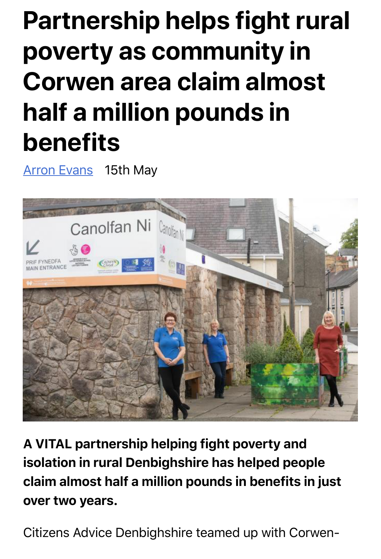## **Partnership helps fight rural poverty as community in Corwen area claim almost half a million pounds in benefits**

Arron Evans 15th May



A VITAL partnership helping fight poverty and isolation in rural Denbighshire has helped people claim almost half a million pounds in benefits in just over two years.

Citizens Advice Denbighshire teamed up with Corwen-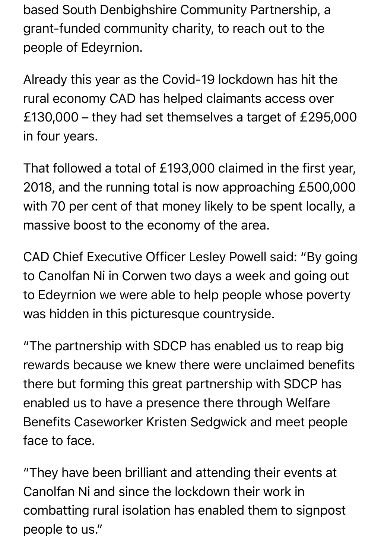based South Denbighshire Community Partnership, a grant-funded community charity, to reach out to the people of Edeyrnion.

Already this year as the Covid-19 lockdown has hit the rural economy CAD has helped claimants access over £130,000 – they had set themselves a target of £295,000 in four years.

That followed a total of £193,000 claimed in the first year, 2018, and the running total is now approaching £500,000 with 70 per cent of that money likely to be spent locally, a massive boost to the economy of the area.

CAD Chief Executive Officer Lesley Powell said: "By going to Canolfan Ni in Corwen two days a week and going out to Edeyrnion we were able to help people whose poverty was hidden in this picturesque countryside.

"The partnership with SDCP has enabled us to reap big rewards because we knew there were unclaimed benefits there but forming this great partnership with SDCP has enabled us to have a presence there through Welfare Benefits Caseworker Kristen Sedgwick and meet people face to face.

"They have been brilliant and attending their events at Canolfan Ni and since the lockdown their work in combatting rural isolation has enabled them to signpost people to us."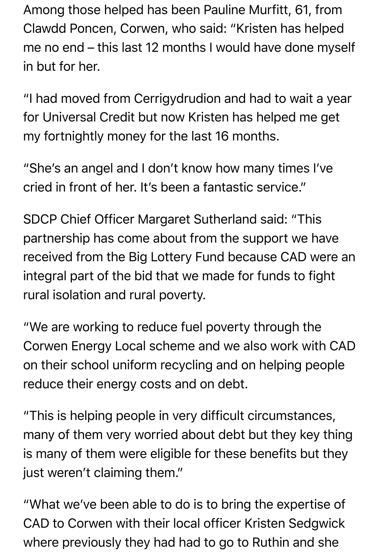Among those helped has been Pauline Murfitt, 61, from Clawdd Poncen, Corwen, who said: "Kristen has helped me no end – this last 12 months I would have done myself in but for her.

"I had moved from Cerrigydrudion and had to wait a year for Universal Credit but now Kristen has helped me get my fortnightly money for the last 16 months.

"She's an angel and I don't know how many times I've cried in front of her. It's been a fantastic service."

SDCP Chief Officer Margaret Sutherland said: "This partnership has come about from the support we have received from the Big Lottery Fund because CAD were an integral part of the bid that we made for funds to fight rural isolation and rural poverty.

"We are working to reduce fuel poverty through the Corwen Energy Local scheme and we also work with CAD on their school uniform recycling and on helping people reduce their energy costs and on debt.

"This is helping people in very difficult circumstances, many of them very worried about debt but they key thing is many of them were eligible for these benefits but they just weren't claiming them."

"What we've been able to do is to bring the expertise of CAD to Corwen with their local officer Kristen Sedgwick where previously they had had to go to Ruthin and she